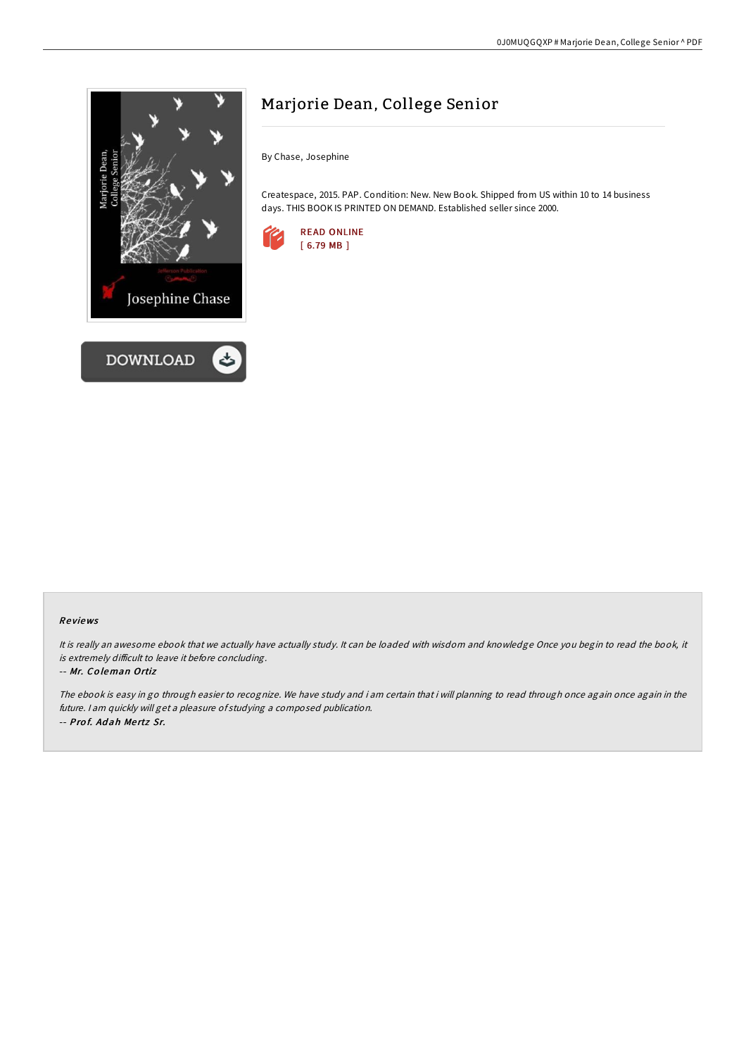

# Marjorie Dean, College Senior

By Chase, Josephine

Createspace, 2015. PAP. Condition: New. New Book. Shipped from US within 10 to 14 business days. THIS BOOK IS PRINTED ON DEMAND. Established seller since 2000.



## Re views

It is really an awesome ebook that we actually have actually study. It can be loaded with wisdom and knowledge Once you begin to read the book, it is extremely difficult to leave it before concluding.

#### -- Mr. Co leman Ortiz

The ebook is easy in go through easier to recognize. We have study and i am certain that i will planning to read through once again once again in the future. <sup>I</sup> am quickly will get <sup>a</sup> pleasure of studying <sup>a</sup> composed publication. -- Pro f. Ad ah Me rtz Sr.